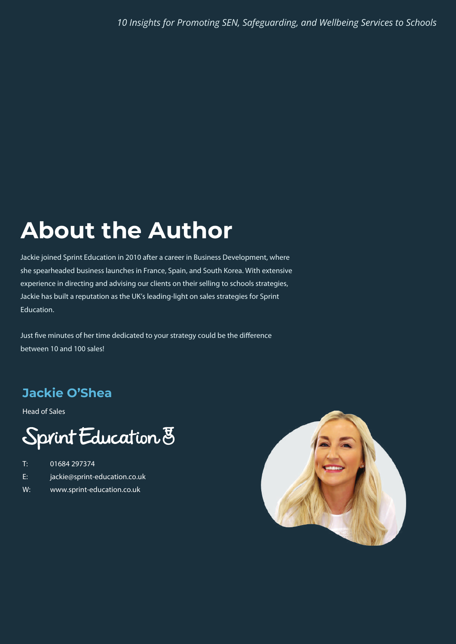#### **About the Author About the Author**

Jackie joined Sprint Education in 2010 after a career in Business Development, where she spearheaded business launches in France, Spain, and South Korea. With extensive experience in directing and advising our clients on their selling to schools strategies, Jackie has built a reputation as the UK's leading-light on sales strategies for Sprint Education.

Just five minutes of her time dedicated to your strategy could be the difference between 10 and 100 sales!

#### **Jackie O'Shea Jackie O'Shea**

Head of Sales

#### Sprint Education 8

- T: 01684 297374
- E: jackie@sprint-education.co.uk
- W: www.sprint-education.co.uk

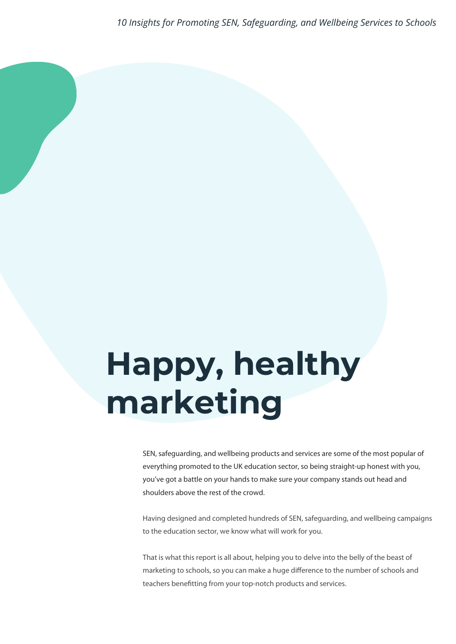# **Happy, healthy marketing**

SEN, safeguarding, and wellbeing products and services are some of the most popular of everything promoted to the UK education sector, so being straight-up honest with you, you've got a battle on your hands to make sure your company stands out head and shoulders above the rest of the crowd.

Having designed and completed hundreds of SEN, safeguarding, and wellbeing campaigns to the education sector, we know what will work for you.

That is what this report is all about, helping you to delve into the belly of the beast of marketing to schools, so you can make a huge difference to the number of schools and teachers benefitting from your top-notch products and services.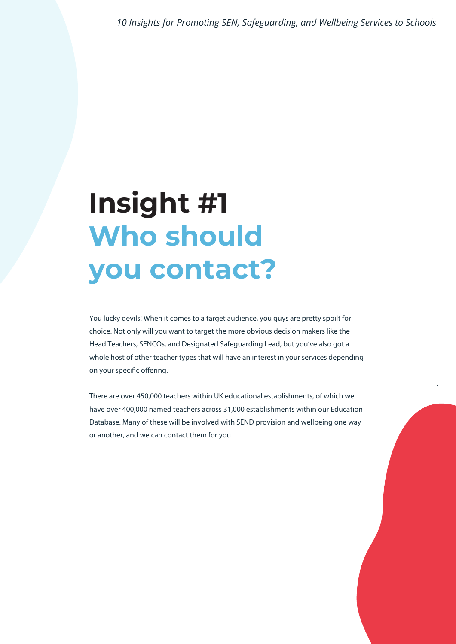### **Insight #1 Who should you contact?**

You lucky devils! When it comes to a target audience, you guys are pretty spoilt for choice. Not only will you want to target the more obvious decision makers like the Head Teachers, SENCOs, and Designated Safeguarding Lead, but you've also got a whole host of other teacher types that will have an interest in your services depending on your specific offering.

There are over 450,000 teachers within UK educational establishments, of which we have over 400,000 named teachers across 31,000 establishments within our Education Database. Many of these will be involved with SEND provision and wellbeing one way or another, and we can contact them for you.

.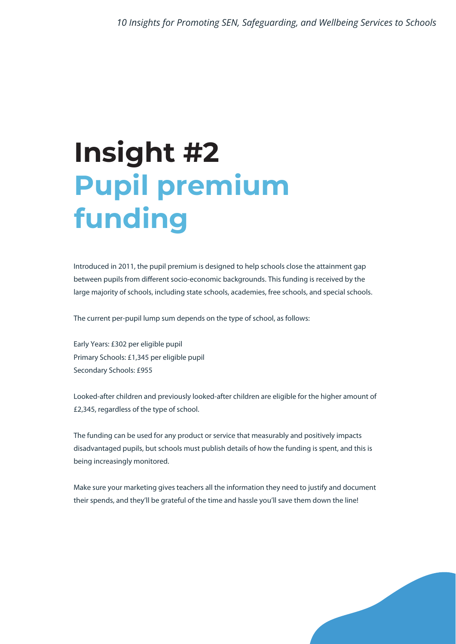## **Insight #2 Pupil premium funding**

Introduced in 2011, the pupil premium is designed to help schools close the attainment gap between pupils from different socio-economic backgrounds. This funding is received by the large majority of schools, including state schools, academies, free schools, and special schools.

The current per-pupil lump sum depends on the type of school, as follows:

Early Years: £302 per eligible pupil Primary Schools: £1,345 per eligible pupil Secondary Schools: £955

Looked-after children and previously looked-after children are eligible for the higher amount of £2,345, regardless of the type of school.

The funding can be used for any product or service that measurably and positively impacts disadvantaged pupils, but schools must publish details of how the funding is spent, and this is being increasingly monitored.

Make sure your marketing gives teachers all the information they need to justify and document their spends, and they'll be grateful of the time and hassle you'll save them down the line!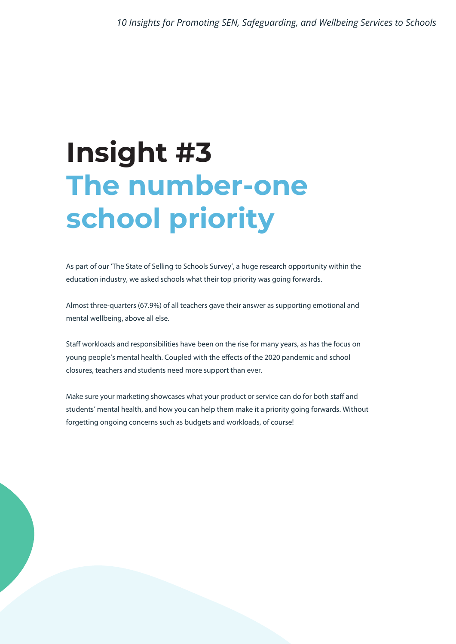# **Insight #3 The number-one school priority**

As part of our 'The State of Selling to Schools Survey', a huge research opportunity within the education industry, we asked schools what their top priority was going forwards.

Almost three-quarters (67.9%) of all teachers gave their answer as supporting emotional and mental wellbeing, above all else.

Staff workloads and responsibilities have been on the rise for many years, as has the focus on young people's mental health. Coupled with the effects of the 2020 pandemic and school closures, teachers and students need more support than ever.

Make sure your marketing showcases what your product or service can do for both staff and students' mental health, and how you can help them make it a priority going forwards. Without forgetting ongoing concerns such as budgets and workloads, of course!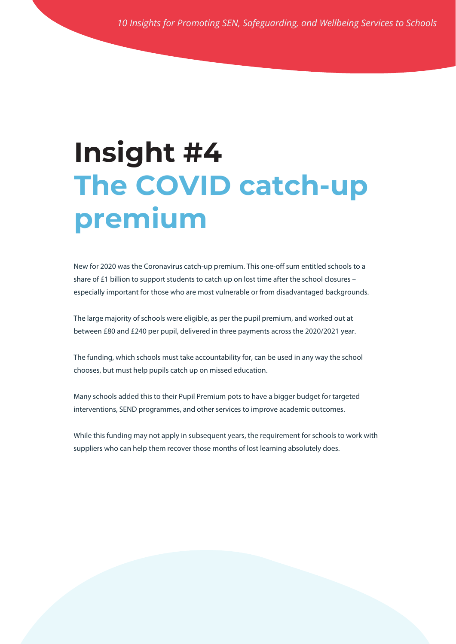### **Insight #4 The COVID catch-up premium**

New for 2020 was the Coronavirus catch-up premium. This one-off sum entitled schools to a share of £1 billion to support students to catch up on lost time after the school closures – especially important for those who are most vulnerable or from disadvantaged backgrounds.

The large majority of schools were eligible, as per the pupil premium, and worked out at between £80 and £240 per pupil, delivered in three payments across the 2020/2021 year.

The funding, which schools must take accountability for, can be used in any way the school chooses, but must help pupils catch up on missed education.

Many schools added this to their Pupil Premium pots to have a bigger budget for targeted interventions, SEND programmes, and other services to improve academic outcomes.

While this funding may not apply in subsequent years, the requirement for schools to work with suppliers who can help them recover those months of lost learning absolutely does.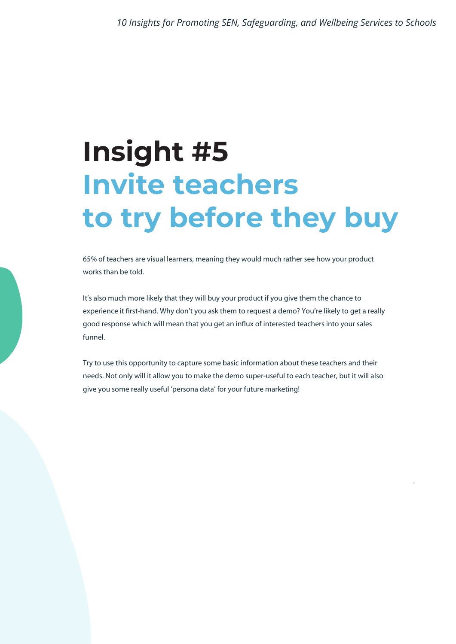### **Insight #5 Invite teachers to try before they buy**

65% of teachers are visual learners, meaning they would much rather see how your product works than be told.

It's also much more likely that they will buy your product if you give them the chance to experience it first-hand. Why don't you ask them to request a demo? You're likely to get a really good response which will mean that you get an influx of interested teachers into your sales funnel.

Try to use this opportunity to capture some basic information about these teachers and their needs. Not only will it allow you to make the demo super-useful to each teacher, but it will also give you some really useful 'persona data' for your future marketing!

.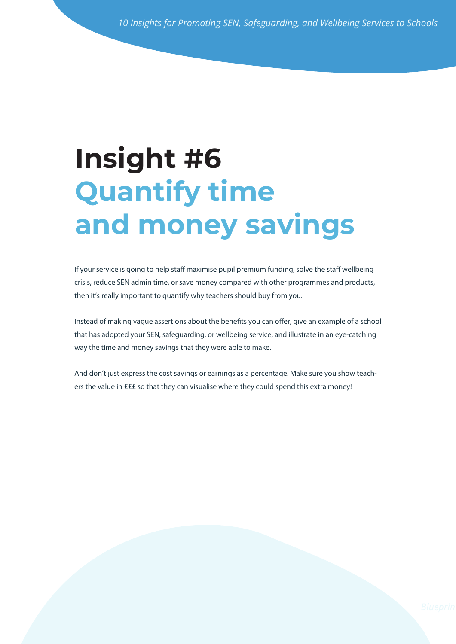#### **Quantif and mone Insight #6 Quantify time and money savings**

If your service is going to help staff maximise pupil premi If your service is going to help staff maximise pupil premium funding, solve the staff wellbeing crisis, reduce SEN admin time, or save money compared with other programmes and products, then it's really important to quantify why teachers should buy from you.

Instead of making vague assertions about the benefits you can offer, give an example of a school way the time and money savings that they were able to make. that has adopted your SEN, safeguarding, or wellbeing service, and illustrate in an eye-catching

And don't just express the cost savings or earnings as a percentage. Make sure you show teachers the value in £££ so that they can visualise where they could spend this extra money!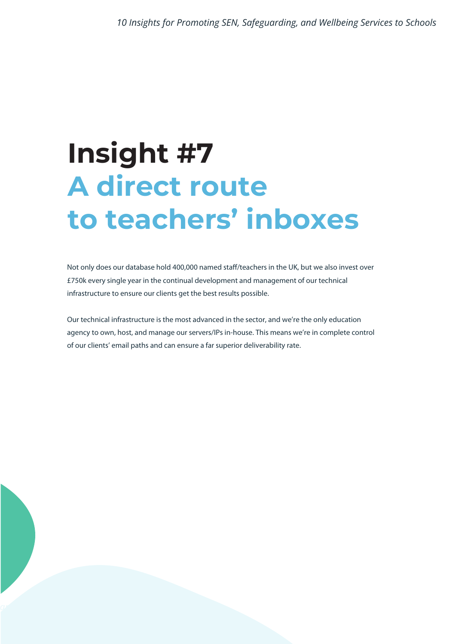### **Insight #7 A direct route to teachers' inboxes**

Not only does our database hold 400,000 named staff/teachers in the UK, but we also invest over £750k every single year in the continual development and management of our technical infrastructure to ensure our clients get the best results possible.

Our technical infrastructure is the most advanced in the sector, and we're the only education agency to own, host, and manage our servers/IPs in-house. This means we're in complete control of our clients' email paths and can ensure a far superior deliverability rate.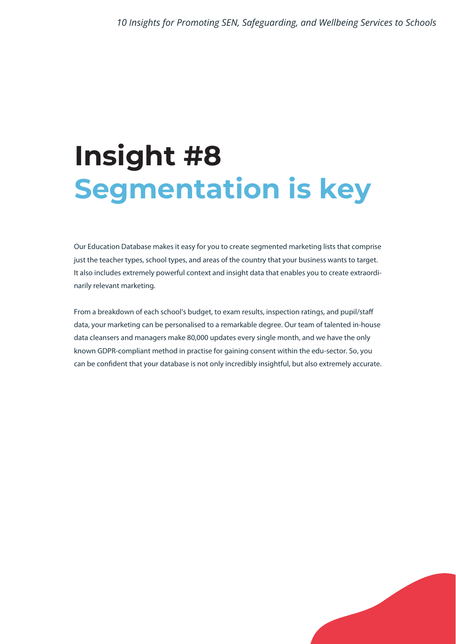### **Insight #8 Segmentation is key**

Our Education Database makes it easy for you to create segmented marketing lists that comprise just the teacher types, school types, and areas of the country that your business wants to target. It also includes extremely powerful context and insight data that enables you to create extraordinarily relevant marketing.

From a breakdown of each school's budget, to exam results, inspection ratings, and pupil/staff data, your marketing can be personalised to a remarkable degree. Our team of talented in-house data cleansers and managers make 80,000 updates every single month, and we have the only known GDPR-compliant method in practise for gaining consent within the edu-sector. So, you can be confident that your database is not only incredibly insightful, but also extremely accurate.

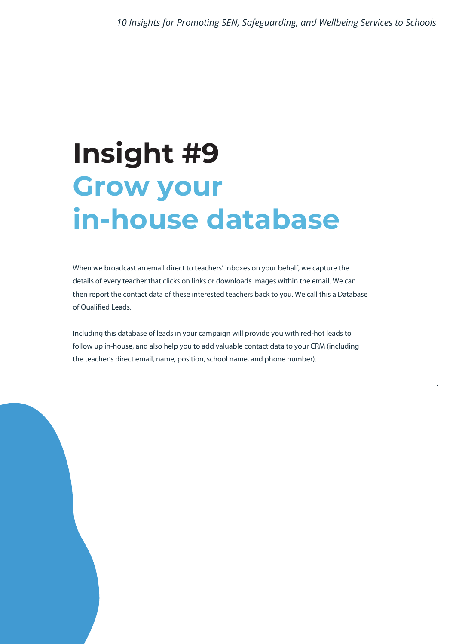### **Insight #9 Grow your in-house database**

When we broadcast an email direct to teachers' inboxes on your behalf, we capture the details of every teacher that clicks on links or downloads images within the email. We can then report the contact data of these interested teachers back to you. We call this a Database of Qualified Leads.

Including this database of leads in your campaign will provide you with red-hot leads to follow up in-house, and also help you to add valuable contact data to your CRM (including the teacher's direct email, name, position, school name, and phone number).

.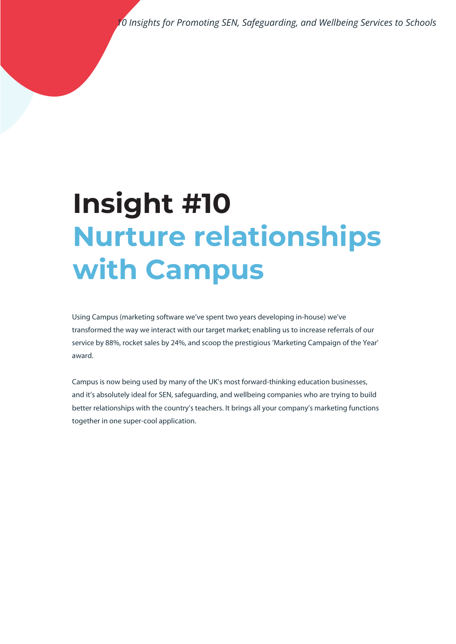## **Insight #10 Nurture relationships with Campus**

Using Campus (marketing software we've spent two years developing in-house) we've transformed the way we interact with our target market; enabling us to increase referrals of our service by 88%, rocket sales by 24%, and scoop the prestigious 'Marketing Campaign of the Year' award.

Campus is now being used by many of the UK's most forward-thinking education businesses, and it's absolutely ideal for SEN, safeguarding, and wellbeing companies who are trying to build better relationships with the country's teachers. It brings all your company's marketing functions together in one super-cool application.